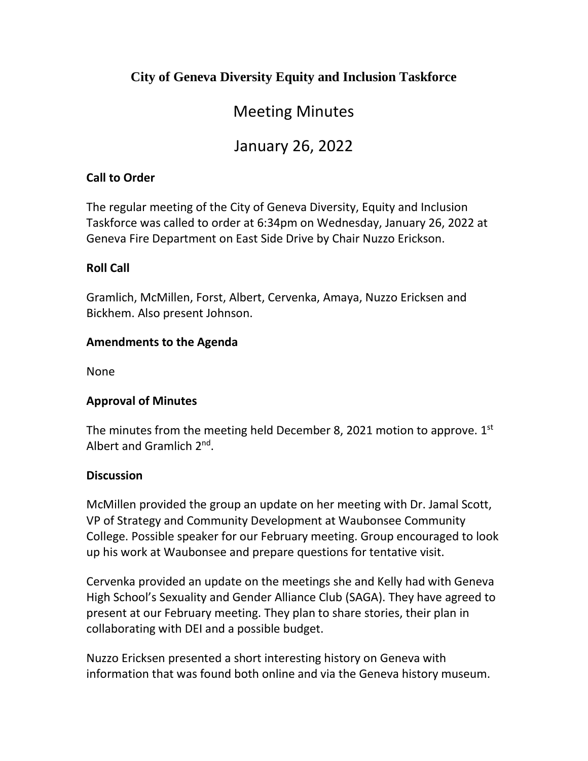### **City of Geneva Diversity Equity and Inclusion Taskforce**

# Meeting Minutes

# January 26, 2022

#### **Call to Order**

The regular meeting of the City of Geneva Diversity, Equity and Inclusion Taskforce was called to order at 6:34pm on Wednesday, January 26, 2022 at Geneva Fire Department on East Side Drive by Chair Nuzzo Erickson.

#### **Roll Call**

Gramlich, McMillen, Forst, Albert, Cervenka, Amaya, Nuzzo Ericksen and Bickhem. Also present Johnson.

#### **Amendments to the Agenda**

None

#### **Approval of Minutes**

The minutes from the meeting held December 8, 2021 motion to approve.  $1<sup>st</sup>$ Albert and Gramlich 2nd.

#### **Discussion**

McMillen provided the group an update on her meeting with Dr. Jamal Scott, VP of Strategy and Community Development at Waubonsee Community College. Possible speaker for our February meeting. Group encouraged to look up his work at Waubonsee and prepare questions for tentative visit.

Cervenka provided an update on the meetings she and Kelly had with Geneva High School's Sexuality and Gender Alliance Club (SAGA). They have agreed to present at our February meeting. They plan to share stories, their plan in collaborating with DEI and a possible budget.

Nuzzo Ericksen presented a short interesting history on Geneva with information that was found both online and via the Geneva history museum.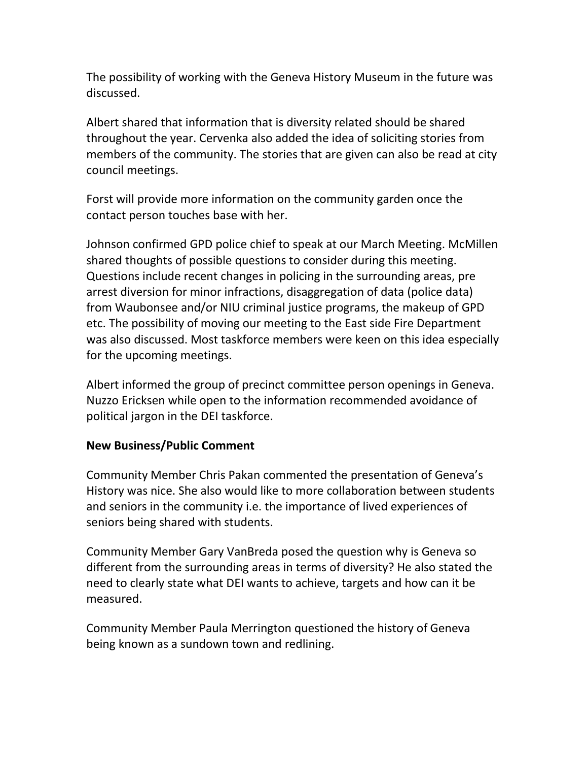The possibility of working with the Geneva History Museum in the future was discussed.

Albert shared that information that is diversity related should be shared throughout the year. Cervenka also added the idea of soliciting stories from members of the community. The stories that are given can also be read at city council meetings.

Forst will provide more information on the community garden once the contact person touches base with her.

Johnson confirmed GPD police chief to speak at our March Meeting. McMillen shared thoughts of possible questions to consider during this meeting. Questions include recent changes in policing in the surrounding areas, pre arrest diversion for minor infractions, disaggregation of data (police data) from Waubonsee and/or NIU criminal justice programs, the makeup of GPD etc. The possibility of moving our meeting to the East side Fire Department was also discussed. Most taskforce members were keen on this idea especially for the upcoming meetings.

Albert informed the group of precinct committee person openings in Geneva. Nuzzo Ericksen while open to the information recommended avoidance of political jargon in the DEI taskforce.

#### **New Business/Public Comment**

Community Member Chris Pakan commented the presentation of Geneva's History was nice. She also would like to more collaboration between students and seniors in the community i.e. the importance of lived experiences of seniors being shared with students.

Community Member Gary VanBreda posed the question why is Geneva so different from the surrounding areas in terms of diversity? He also stated the need to clearly state what DEI wants to achieve, targets and how can it be measured.

Community Member Paula Merrington questioned the history of Geneva being known as a sundown town and redlining.